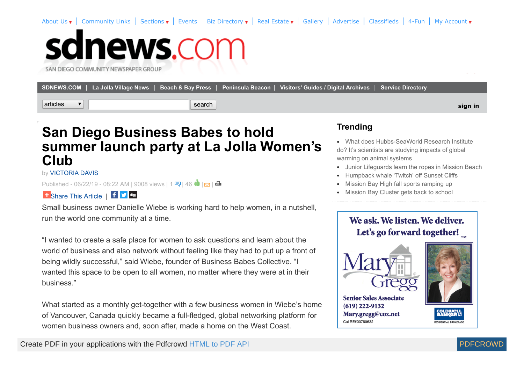[About Us](http://sdnews.com/pages/about_us) v | [Community Links](http://sdnews.com/community_links) | Sections v | [Events](http://sdnews.com/pages/events) | [Biz Directory](http://sdnews.com/pages/business_directory) v | [Real Estate](http://sdnews.com/pages/real_estate) v | [Gallery](http://sdnews.com/Gallery) | [Advertise](http://sdnews.com/pages/main_advertising_information) | [Classifieds](http://sdnews.com/pages/classifieds_ad2ad) | [4-Fun](http://sdnews.com/pages/crosswords) | My Account v

# sdnews.com

SAN DIEGO COMMUNITY NEWSPAPER GROUP

|          | SDNEWS.COM   La Jolla Village News   Beach & Bay Press   Peninsula Beacon   Visitors' Guides / Digital Archives   Service Directory |         |
|----------|-------------------------------------------------------------------------------------------------------------------------------------|---------|
| articles | search                                                                                                                              | sign in |

### **San Diego Business Babes to hold summer launch party at La Jolla Women's Club**

by [VICTORIA DAVIS](http://sdnews.com/bookmark/27601593-VICTORIA_DAVIS)

Published- 06/22/19 - 08:22 AM | 9008 views | 1 < | 46  $\blacksquare$  |  $\blacksquare$  |  $\blacksquare$ 

1 [Share This Article](http://addthis.com/bookmark.php?v=250) | f ■

Small business owner Danielle Wiebe is working hard to help women, in a nutshell, run the world one community at a time.

"I wanted to create a safe place for women to ask questions and learn about the world of business and also network without feeling like they had to put up a front of being wildly successful," said Wiebe, founder of Business Babes Collective. "I wanted this space to be open to all women, no matter where they were at in their business."

What started as a monthly get-together with a few business women in Wiebe's home of Vancouver, Canada quickly became a full-fledged, global networking platform for women business owners and, soon after, made a home on the West Coast.

#### **Trending**

- What does Hubbs-SeaWorld Research Institute [do? It's scientists are studying impacts of global](http://sdnews.com/view/full_story/27661245/article-What-does-Hubbs-SeaWorld-Research-Institute-do--It-s-scientists-are-studying-impacts-of-global-warming-on-animal-systems-?instance=most_popular1) warming on animal systems
- [Junior Lifeguards learn the ropes in Mission Beach](http://sdnews.com/view/full_story/27661051/article-Junior-Lifeguards-learn-the-ropes-in-Mission-Beach?instance=most_popular1)
- [Humpback whale 'Twitch' off Sunset Cliffs](http://sdnews.com/view/full_story/27661219/article-Humpback-whale--Twitch--off-Sunset-Cliffs-?instance=most_popular1)
- [Mission Bay High fall sports ramping up](http://sdnews.com/view/full_story/27661735/article-Mission-Bay-High-fall-sports-ramping-up-?instance=most_popular1)
- [Mission Bay Cluster gets back to school](http://sdnews.com/view/full_story/27661057/article-Mission-Bay-Cluster-gets-back-to-school-?instance=most_popular1)

#### We ask, We listen, We deliver. Let's go forward together!



**Senior Sales Associate**  $(619)$  222-9132 Mary.gregg@cox.net Cal RE#00780632

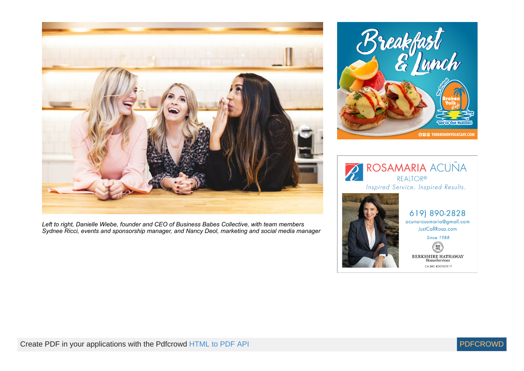

*Left to right, Danielle Wiebe, founder and CEO of Business Babes Collective, with team members Sydnee Ricci, events and sponsorship manager, and Nancy Deol, marketing and social media manager*





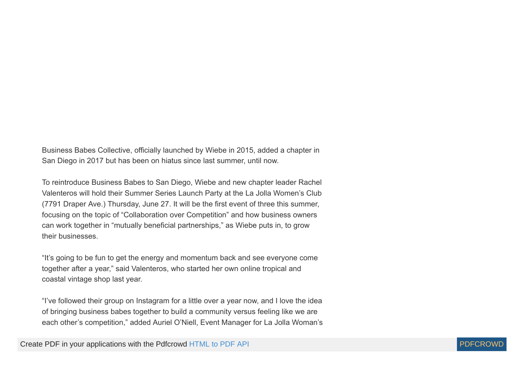Business Babes Collective, officially launched by Wiebe in 2015, added a chapter in San Diego in 2017 but has been on hiatus since last summer, until now.

To reintroduce Business Babes to San Diego, Wiebe and new chapter leader Rachel Valenteros will hold their Summer Series Launch Party at the La Jolla Women's Club (7791 Draper Ave.) Thursday, June 27. It will be the first event of three this summer, focusing on the topic of "Collaboration over Competition" and how business owners can work together in "mutually beneficial partnerships," as Wiebe puts in, to grow their businesses.

"It's going to be fun to get the energy and momentum back and see everyone come together after a year," said Valenteros, who started her own online tropical and coastal vintage shop last year.

"I've followed their group on Instagram for a little over a year now, and I love the idea of bringing business babes together to build a community versus feeling like we are each other's competition," added Auriel O'Niell, Event Manager for La Jolla Woman's

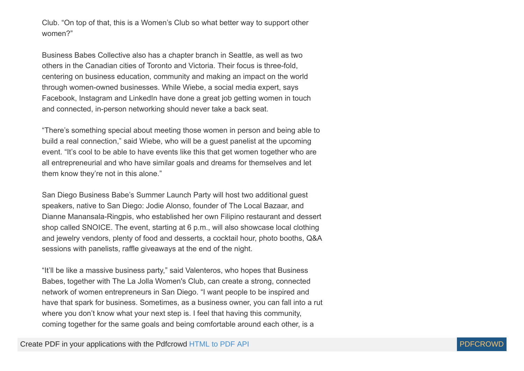Club. "On top of that, this is a Women's Club so what better way to support other women?"

Business Babes Collective also has a chapter branch in Seattle, as well as two others in the Canadian cities of Toronto and Victoria. Their focus is three-fold, centering on business education, community and making an impact on the world through women-owned businesses. While Wiebe, a social media expert, says Facebook, Instagram and LinkedIn have done a great job getting women in touch and connected, in-person networking should never take a back seat.

"There's something special about meeting those women in person and being able to build a real connection," said Wiebe, who will be a guest panelist at the upcoming event. "It's cool to be able to have events like this that get women together who are all entrepreneurial and who have similar goals and dreams for themselves and let them know they're not in this alone."

San Diego Business Babe's Summer Launch Party will host two additional guest speakers, native to San Diego: Jodie Alonso, founder of The Local Bazaar, and Dianne Manansala-Ringpis, who established her own Filipino restaurant and dessert shop called SNOICE. The event, starting at 6 p.m., will also showcase local clothing and jewelry vendors, plenty of food and desserts, a cocktail hour, photo booths, Q&A sessions with panelists, raffle giveaways at the end of the night.

"It'll be like a massive business party," said Valenteros, who hopes that Business Babes, together with The La Jolla Women's Club, can create a strong, connected network of women entrepreneurs in San Diego. "I want people to be inspired and have that spark for business. Sometimes, as a business owner, you can fall into a rut where you don't know what your next step is. I feel that having this community, coming together for the same goals and being comfortable around each other, is a

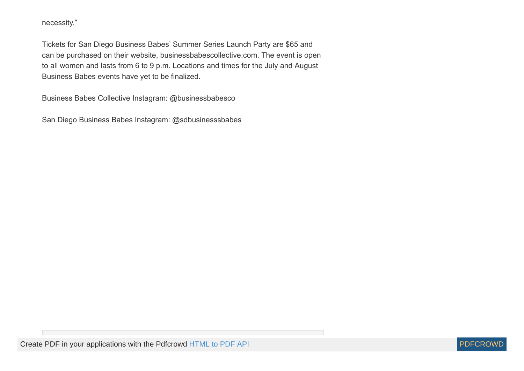necessity."

Tickets for San Diego Business Babes' Summer Series Launch Party are \$65 and can be purchased on their website, businessbabescollective.com. The event is open to all women and lasts from 6 to 9 p.m. Locations and times for the July and August Business Babes events have yet to be finalized.

Business Babes Collective Instagram: @businessbabesco

San Diego Business Babes Instagram: @sdbusinesssbabes